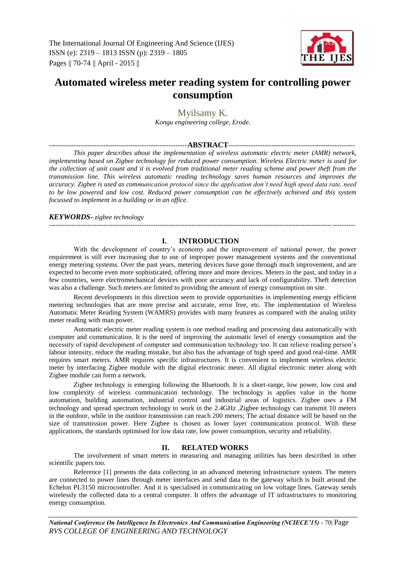

# **Automated wireless meter reading system for controlling power consumption**

## Myilsamy K.

*Kongu engineering college, Erode.*

## -------------------------------------------------------------**ABSTRACT**--------------------------------------------------------

*This paper describes about the implementation of wireless automatic electric meter (AMR) network, implementing based on Zigbee technology for reduced power consumption. Wireless Electric meter is used for the collection of unit count and it is evolved from traditional meter reading scheme and power theft from the transmission line. This wireless automatic reading technology saves human resources and improves the accuracy. Zigbee is used as communication protocol since the application don't need high speed data rate, need to be low powered and low cost. Reduced power consumption can be effectively achieved and this system focussed to implement in a building or in an office.*

#### *KEYWORDS- zigbee technology*

## **I. INTRODUCTION**

---------------------------------------------------------------------------------------------------------------------------------------

With the development of country's economy and the improvement of national power, the power requirement is still ever increasing due to use of improper power management systems and the conventional energy metering systems. Over the past years, metering devices have gone through much improvement, and are expected to become even more sophisticated, offering more and more devices. Meters in the past, and today in a few countries, were electromechanical devices with poor accuracy and lack of configurability. Theft detection was also a challenge. Such meters are limited to providing the amount of energy consumption on site.

Recent developments in this direction seem to provide opportunities in implementing energy efficient metering technologies that are more precise and accurate, error free, etc. The implementation of Wireless Automatic Meter Reading System (WAMRS) provides with many features as compared with the analog utility meter reading with man power.

Automatic electric meter reading system is one method reading and processing data automatically with computer and communication. It is the need of improving the automatic level of energy consumption and the necessity of rapid development of computer and communication technology too. It can relieve reading person's labour intensity, reduce the reading mistake, but also has the advantage of high speed and good real-time. AMR requires smart meters. AMR requires specific infrastructures. It is convenient to implement wireless electric meter by interfacing Zigbee module with the digital electronic meter. All digital electronic meter along with Zigbee module can form a network.

Zigbee technology is emerging following the Bluetooth. It is a short-range, low power, low cost and low complexity of wireless communication technology. The technology is applies value in the home automation, building automation, industrial control and industrial areas of logistics. Zigbee uses a FM technology and spread spectrum technology to work in the 2.4GHz ,Zigbee technology can transmit 10 meters in the outdoor, while in the outdoor transmission can reach 200 meters; The actual distance will be based on the size of transmission power. Here Zigbee is chosen as lower layer communication protocol. With these applications, the standards optimised for low data rate, low power consumption, security and reliability.

## **II. RELATED WORKS**

The involvement of smart meters in measuring and managing utilities has been described in other scientific papers too.

Reference [1] presents the data collecting in an advanced metering infrastructure system. The meters are connected to power lines through meter interfaces and send data to the gateway which is built around the Echelon PL3150 microcontroller. And it is specialised in communicating on low voltage lines. Gateway sends wirelessly the collected data to a central computer. It offers the advantage of IT infrastructures to monitoring energy consumption.

*National Conference On Intelligence In Electronics And Communication Engineering (NCIECE'15) -* 70| Page *RVS COLLEGE OF ENGINEERING AND TECHNOLOGY*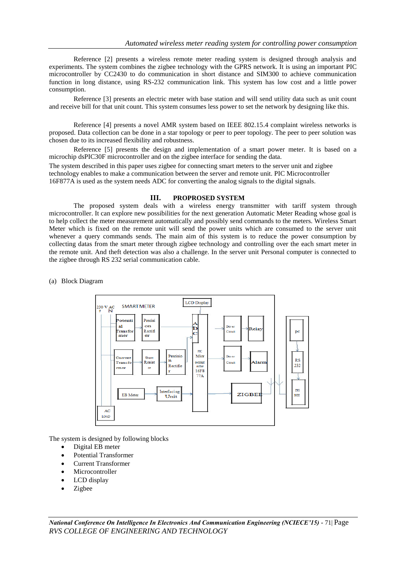Reference [2] presents a wireless remote meter reading system is designed through analysis and experiments. The system combines the zigbee technology with the GPRS network. It is using an important PIC microcontroller by CC2430 to do communication in short distance and SIM300 to achieve communication function in long distance, using RS-232 communication link. This system has low cost and a little power consumption.

Reference [3] presents an electric meter with base station and will send utility data such as unit count and receive bill for that unit count. This system consumes less power to set the network by designing like this.

Reference [4] presents a novel AMR system based on IEEE 802.15.4 complaint wireless networks is proposed. Data collection can be done in a star topology or peer to peer topology. The peer to peer solution was chosen due to its increased flexibility and robustness.

Reference [5] presents the design and implementation of a smart power meter. It is based on a microchip dsPIC30F microcontroller and on the zigbee interface for sending the data.

The system described in this paper uses zigbee for connecting smart meters to the server unit and zigbee technology enables to make a communication between the server and remote unit. PIC Microcontroller 16F877A is used as the system needs ADC for converting the analog signals to the digital signals.

## **III. PROPROSED SYSTEM**

The proposed system deals with a wireless energy transmitter with tariff system through microcontroller. It can explore new possibilities for the next generation Automatic Meter Reading whose goal is to help collect the meter measurement automatically and possibly send commands to the meters. Wireless Smart Meter which is fixed on the remote unit will send the power units which are consumed to the server unit whenever a query commands sends. The main aim of this system is to reduce the power consumption by collecting datas from the smart meter through zigbee technology and controlling over the each smart meter in the remote unit. And theft detection was also a challenge. In the server unit Personal computer is connected to the zigbee through RS 232 serial communication cable.

(a) Block Diagram



The system is designed by following blocks

- Digital EB meter
- Potential Transformer
- Current Transformer
- Microcontroller
- LCD display
- Zigbee

*National Conference On Intelligence In Electronics And Communication Engineering (NCIECE'15) -* 71| Page *RVS COLLEGE OF ENGINEERING AND TECHNOLOGY*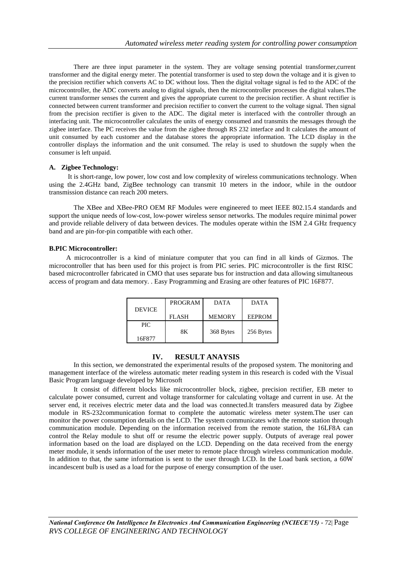There are three input parameter in the system. They are voltage sensing potential transformer,current transformer and the digital energy meter. The potential transformer is used to step down the voltage and it is given to the precision rectifier which converts AC to DC without loss. Then the digital voltage signal is fed to the ADC of the microcontroller, the ADC converts analog to digital signals, then the microcontroller processes the digital values.The current transformer senses the current and gives the appropriate current to the precision rectifier. A shunt rectifier is connected between current transformer and precision rectifier to convert the current to the voltage signal. Then signal from the precision rectifier is given to the ADC. The digital meter is interfaced with the controller through an interfacing unit. The microcontroller calculates the units of energy consumed and transmits the messages through the zigbee interface. The PC receives the value from the zigbee through RS 232 interface and It calculates the amount of unit consumed by each customer and the database stores the appropriate information. The LCD display in the controller displays the information and the unit consumed. The relay is used to shutdown the supply when the consumer is left unpaid.

## **A. Zigbee Technology:**

It is short-range, low power, low cost and low complexity of wireless communications technology. When using the 2.4GHz band, ZigBee technology can transmit 10 meters in the indoor, while in the outdoor transmission distance can reach 200 meters.

The XBee and XBee-PRO OEM RF Modules were engineered to meet IEEE 802.15.4 standards and support the unique needs of low-cost, low-power wireless sensor networks. The modules require minimal power and provide reliable delivery of data between devices. The modules operate within the ISM 2.4 GHz frequency band and are pin-for-pin compatible with each other.

#### **B.PIC Microcontroller:**

A microcontroller is a kind of miniature computer that you can find in all kinds of Gizmos. The microcontroller that has been used for this project is from PIC series. PIC microcontroller is the first RISC based microcontroller fabricated in CMO that uses separate bus for instruction and data allowing simultaneous access of program and data memory. . Easy Programming and Erasing are other features of PIC 16F877.

|               | <b>PROGRAM</b> | <b>DATA</b>   | <b>DATA</b>   |
|---------------|----------------|---------------|---------------|
| <b>DEVICE</b> | <b>FLASH</b>   | <b>MEMORY</b> | <b>EEPROM</b> |
| PIC.          |                |               |               |
|               | 8Κ             | 368 Bytes     | 256 Bytes     |
| 16F877        |                |               |               |

#### **IV. RESULT ANAYSIS**

In this section, we demonstrated the experimental results of the proposed system. The monitoring and management interface of the wireless automatic meter reading system in this research is coded with the Visual Basic Program language developed by Microsoft

It consist of different blocks like microcontroller block, zigbee, precision rectifier, EB meter to calculate power consumed, current and voltage transformer for calculating voltage and current in use. At the server end, it receives electric meter data and the load was connected.It transfers measured data by Zigbee module in RS-232communication format to complete the automatic wireless meter system.The user can monitor the power consumption details on the LCD. The system communicates with the remote station through communication module. Depending on the information received from the remote station, the 16LF8A can control the Relay module to shut off or resume the electric power supply. Outputs of average real power information based on the load are displayed on the LCD. Depending on the data received from the energy meter module, it sends information of the user meter to remote place through wireless communication module. In addition to that, the same information is sent to the user through LCD. In the Load bank section, a 60W incandescent bulb is used as a load for the purpose of energy consumption of the user.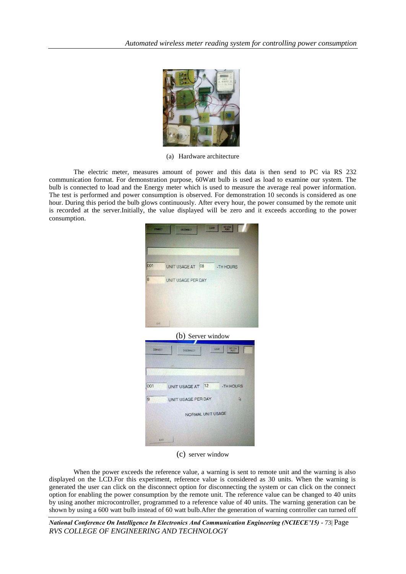

(a) Hardware architecture

The electric meter, measures amount of power and this data is then send to PC via RS 232 communication format. For demonstration purpose, 60Watt bulb is used as load to examine our system. The bulb is connected to load and the Energy meter which is used to measure the average real power information. The test is performed and power consumption is observed. For demonstration 10 seconds is considered as one hour. During this period the bulb glows continuously. After every hour, the power consumed by the remote unit is recorded at the server.Initially, the value displayed will be zero and it exceeds according to the power consumption.

| 001            | UNIT USAGE AT 08<br>-TH HOURS         |
|----------------|---------------------------------------|
|                |                                       |
| 8              | UNIT USAGE PER DAY                    |
|                |                                       |
|                |                                       |
|                |                                       |
| <b>EXIT</b>    |                                       |
|                | (b) Server window                     |
|                |                                       |
|                |                                       |
| <b>CONNECT</b> | SET COM<br><b>CLEAR</b><br>DISCONNECT |
|                |                                       |
|                |                                       |
| 001            | UNIT USAGE AT 12<br>-TH HOURS         |
|                |                                       |
| 9              | UNIT USAGE PER DAY<br>位               |

(c) server window

When the power exceeds the reference value, a warning is sent to remote unit and the warning is also displayed on the LCD.For this experiment, reference value is considered as 30 units. When the warning is generated the user can click on the disconnect option for disconnecting the system or can click on the connect option for enabling the power consumption by the remote unit. The reference value can be changed to 40 units by using another microcontroller, programmed to a reference value of 40 units. The warning generation can be shown by using a 600 watt bulb instead of 60 watt bulb.After the generation of warning controller can turned off

*National Conference On Intelligence In Electronics And Communication Engineering (NCIECE'15) -* 73| Page *RVS COLLEGE OF ENGINEERING AND TECHNOLOGY*